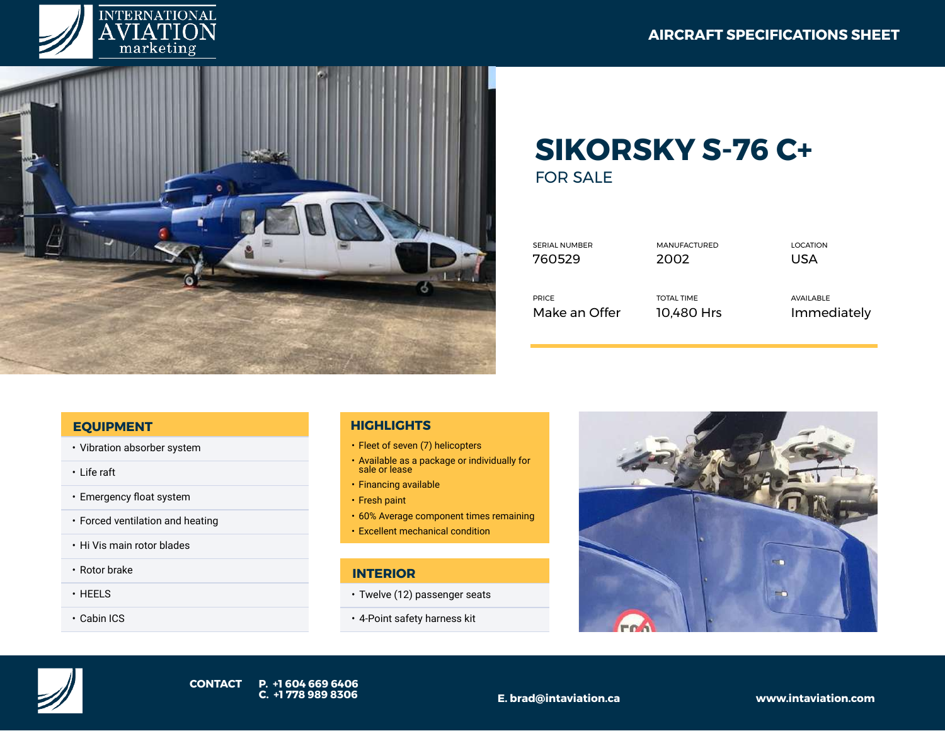



## **SIKORSKY S-76 C+**  FOR SALE

| <b>SERIAL NUMBER</b> | <b>MANUFACTURED</b> | <b>LOCATION</b> |
|----------------------|---------------------|-----------------|
| 760529               | 2002                | USA             |
| <b>PRICE</b>         | <b>TOTAL TIME</b>   | AVAILABLE       |
| Make an Offer        | 10.480 Hrs          | Immediately     |

## **EQUIPMENT**

- Vibration absorber system
- Life raft
- Emergency float system
- Forced ventilation and heating
- Hi Vis main rotor blades
- Rotor brake
- HEELS
- Cabin ICS

## **HIGHLIGHTS**

- Fleet of seven (7) helicopters
- Available as a package or individually for sale or lease
- Financing available
- Fresh paint
- 60% Average component times remaining
- Excellent mechanical condition

## **INTERIOR**

- Twelve (12) passenger seats
- 4-Point safety harness kit



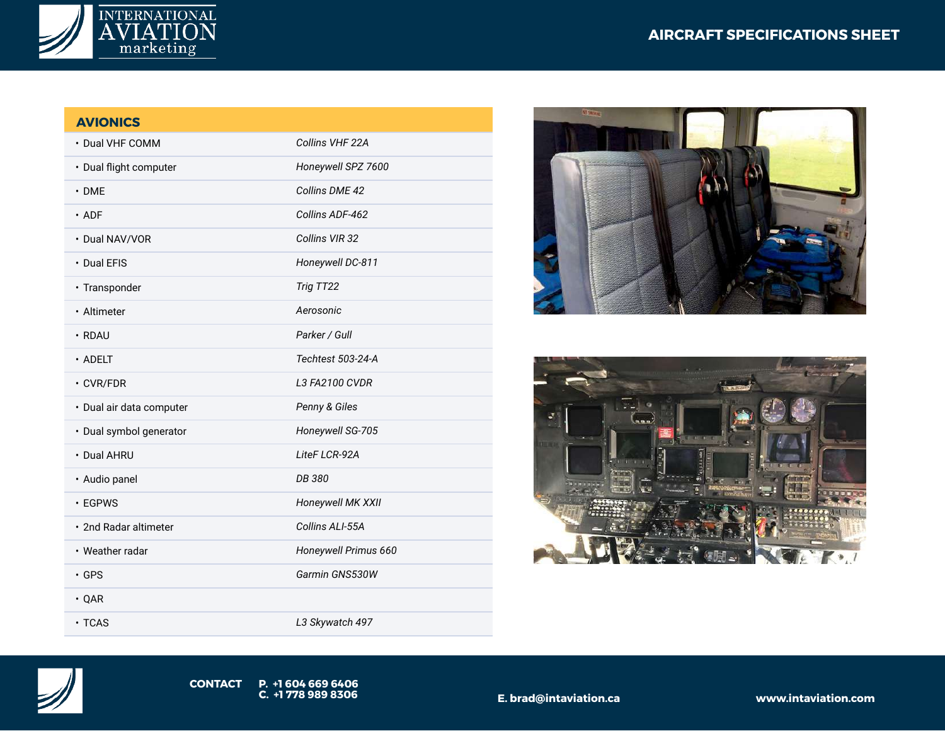

| <b>AVIONICS</b>          |                      |
|--------------------------|----------------------|
| • Dual VHF COMM          | Collins VHF 22A      |
| · Dual flight computer   | Honeywell SPZ 7600   |
| $\cdot$ DME              | Collins DME 42       |
| $\cdot$ ADF              | Collins ADF-462      |
| • Dual NAV/VOR           | Collins VIR 32       |
| • Dual EFIS              | Honeywell DC-811     |
| · Transponder            | Trig TT22            |
| · Altimeter              | Aerosonic            |
| $\cdot$ RDAU             | Parker / Gull        |
| $\cdot$ ADELT            | Techtest 503-24-A    |
| $\cdot$ CVR/FDR          | L3 FA2100 CVDR       |
| · Dual air data computer | Penny & Giles        |
| · Dual symbol generator  | Honeywell SG-705     |
| • Dual AHRU              | LiteF LCR-92A        |
| · Audio panel            | DB 380               |
| $\cdot$ EGPWS            | Honeywell MK XXII    |
| • 2nd Radar altimeter    | Collins ALI-55A      |
| • Weather radar          | Honeywell Primus 660 |
| $\cdot$ GPS              | Garmin GNS530W       |
| $\cdot$ QAR              |                      |

• TCAS *L3 Skywatch 497*